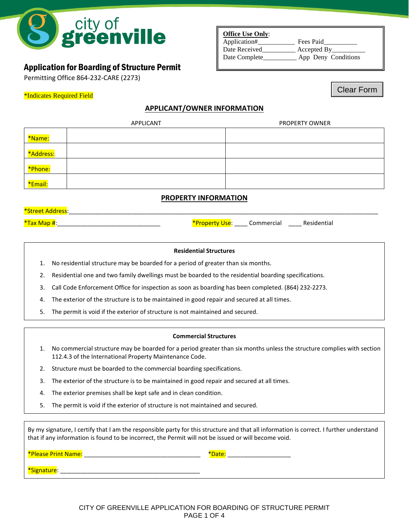

# Application for Boarding of Structure Permit

Permitting Office 864-232-CARE (2273)

## **Office Use Only**:

Application#\_\_\_\_\_\_\_\_\_\_\_ Fees Paid\_\_\_\_\_\_\_\_\_\_ Date Received **Accepted By** Date Complete\_\_\_\_\_\_\_\_\_\_\_ App Deny Conditions

Clear Form

# \*Indicates Required Field

# **APPLICANT/OWNER INFORMATION**

| APPLICANT |  | PROPERTY OWNER |  |
|-----------|--|----------------|--|
| *Name:    |  |                |  |
| *Address: |  |                |  |
| *Phone:   |  |                |  |
| *Email:   |  |                |  |

# **PROPERTY INFORMATION**

| *Stroot                                                    |        |                  |     |
|------------------------------------------------------------|--------|------------------|-----|
| $*T_2$<br>________________________<br>_______<br>_________ | ______ | .<br>ud<br>_____ | ча. |

## **Residential Structures**

- 1. No residential structure may be boarded for a period of greater than six months.
- 2. Residential one and two family dwellings must be boarded to the residential boarding specifications.
- 3. Call Code Enforcement Office for inspection as soon as boarding has been completed. (864) 232-2273.
- 4. The exterior of the structure is to be maintained in good repair and secured at all times.
- 5. The permit is void if the exterior of structure is not maintained and secured.

## **Commercial Structures**

- 1. No commercial structure may be boarded for a period greater than six months unless the structure complies with section 112.4.3 of the International Property Maintenance Code.
- 2. Structure must be boarded to the commercial boarding specifications.
- 3. The exterior of the structure is to be maintained in good repair and secured at all times.
- 4. The exterior premises shall be kept safe and in clean condition.
- 5. The permit is void if the exterior of structure is not maintained and secured.

By my signature, I certify that I am the responsible party for this structure and that all information is correct. I further understand that if any information is found to be incorrect, the Permit will not be issued or will become void.

| *Please Print Name: | <b>Date</b> |  |
|---------------------|-------------|--|
|                     |             |  |
| "Signature.         |             |  |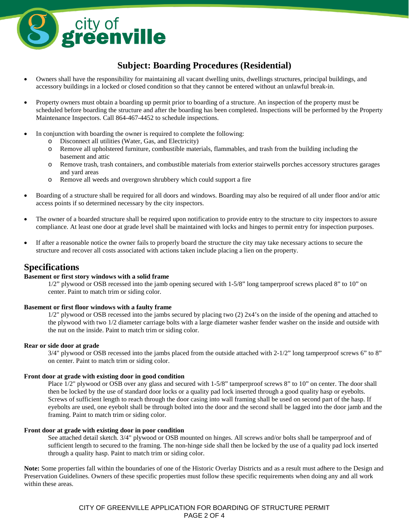

# **Subject: Boarding Procedures (Residential)**

- Owners shall have the responsibility for maintaining all vacant dwelling units, dwellings structures, principal buildings, and accessory buildings in a locked or closed condition so that they cannot be entered without an unlawful break-in.
- Property owners must obtain a boarding up permit prior to boarding of a structure. An inspection of the property must be scheduled before boarding the structure and after the boarding has been completed. Inspections will be performed by the Property Maintenance Inspectors. Call 864-467-4452 to schedule inspections.
- In conjunction with boarding the owner is required to complete the following:
	- o Disconnect all utilities (Water, Gas, and Electricity)
	- o Remove all upholstered furniture, combustible materials, flammables, and trash from the building including the basement and attic
	- o Remove trash, trash containers, and combustible materials from exterior stairwells porches accessory structures garages and yard areas
	- o Remove all weeds and overgrown shrubbery which could support a fire
- Boarding of a structure shall be required for all doors and windows. Boarding may also be required of all under floor and/or attic access points if so determined necessary by the city inspectors.
- The owner of a boarded structure shall be required upon notification to provide entry to the structure to city inspectors to assure compliance. At least one door at grade level shall be maintained with locks and hinges to permit entry for inspection purposes.
- If after a reasonable notice the owner fails to properly board the structure the city may take necessary actions to secure the structure and recover all costs associated with actions taken include placing a lien on the property.

# **Specifications**

## **Basement or first story windows with a solid frame**

1/2" plywood or OSB recessed into the jamb opening secured with 1-5/8" long tamperproof screws placed 8" to 10" on center. Paint to match trim or siding color.

## **Basement or first floor windows with a faulty frame**

1/2" plywood or OSB recessed into the jambs secured by placing two (2) 2x4's on the inside of the opening and attached to the plywood with two 1/2 diameter carriage bolts with a large diameter washer fender washer on the inside and outside with the nut on the inside. Paint to match trim or siding color.

## **Rear or side door at grade**

3/4" plywood or OSB recessed into the jambs placed from the outside attached with 2-1/2" long tamperproof screws 6" to 8" on center. Paint to match trim or siding color.

#### **Front door at grade with existing door in good condition**

Place  $1/2$ " plywood or OSB over any glass and secured with  $1-5/8$ " tamperproof screws 8" to 10" on center. The door shall then be locked by the use of standard door locks or a quality pad lock inserted through a good quality hasp or eyebolts. Screws of sufficient length to reach through the door casing into wall framing shall be used on second part of the hasp. If eyebolts are used, one eyebolt shall be through bolted into the door and the second shall be lagged into the door jamb and the framing. Paint to match trim or siding color.

#### **Front door at grade with existing door in poor condition**

See attached detail sketch. 3/4" plywood or OSB mounted on hinges. All screws and/or bolts shall be tamperproof and of sufficient length to secured to the framing. The non-hinge side shall then be locked by the use of a quality pad lock inserted through a quality hasp. Paint to match trim or siding color.

**Note:** Some properties fall within the boundaries of one of the Historic Overlay Districts and as a result must adhere to the Design and Preservation Guidelines. Owners of these specific properties must follow these specific requirements when doing any and all work within these areas.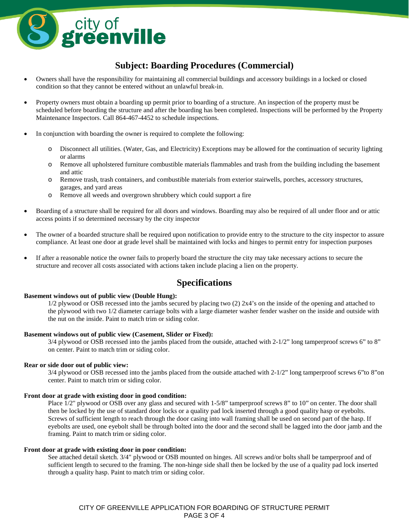

# **Subject: Boarding Procedures (Commercial)**

- Owners shall have the responsibility for maintaining all commercial buildings and accessory buildings in a locked or closed condition so that they cannot be entered without an unlawful break-in.
- Property owners must obtain a boarding up permit prior to boarding of a structure. An inspection of the property must be scheduled before boarding the structure and after the boarding has been completed. Inspections will be performed by the Property Maintenance Inspectors. Call 864-467-4452 to schedule inspections.
- In conjunction with boarding the owner is required to complete the following:
	- o Disconnect all utilities. (Water, Gas, and Electricity) Exceptions may be allowed for the continuation of security lighting or alarms
	- o Remove all upholstered furniture combustible materials flammables and trash from the building including the basement and attic
	- o Remove trash, trash containers, and combustible materials from exterior stairwells, porches, accessory structures, garages, and yard areas
	- o Remove all weeds and overgrown shrubbery which could support a fire
- Boarding of a structure shall be required for all doors and windows. Boarding may also be required of all under floor and or attic access points if so determined necessary by the city inspector
- The owner of a boarded structure shall be required upon notification to provide entry to the structure to the city inspector to assure compliance. At least one door at grade level shall be maintained with locks and hinges to permit entry for inspection purposes
- If after a reasonable notice the owner fails to properly board the structure the city may take necessary actions to secure the structure and recover all costs associated with actions taken include placing a lien on the property.

# **Specifications**

#### **Basement windows out of public view (Double Hung):**

1/2 plywood or OSB recessed into the jambs secured by placing two (2) 2x4's on the inside of the opening and attached to the plywood with two 1/2 diameter carriage bolts with a large diameter washer fender washer on the inside and outside with the nut on the inside. Paint to match trim or siding color.

#### **Basement windows out of public view (Casement, Slider or Fixed):**

3/4 plywood or OSB recessed into the jambs placed from the outside, attached with 2-1/2" long tamperproof screws 6" to 8" on center. Paint to match trim or siding color.

#### **Rear or side door out of public view:**

3/4 plywood or OSB recessed into the jambs placed from the outside attached with 2-1/2" long tamperproof screws 6"to 8"on center. Paint to match trim or siding color.

#### **Front door at grade with existing door in good condition:**

Place  $1/2$ " plywood or OSB over any glass and secured with  $1-5/8$ " tamperproof screws 8" to 10" on center. The door shall then be locked by the use of standard door locks or a quality pad lock inserted through a good quality hasp or eyebolts. Screws of sufficient length to reach through the door casing into wall framing shall be used on second part of the hasp. If eyebolts are used, one eyebolt shall be through bolted into the door and the second shall be lagged into the door jamb and the framing. Paint to match trim or siding color.

#### **Front door at grade with existing door in poor condition:**

See attached detail sketch. 3/4" plywood or OSB mounted on hinges. All screws and/or bolts shall be tamperproof and of sufficient length to secured to the framing. The non-hinge side shall then be locked by the use of a quality pad lock inserted through a quality hasp. Paint to match trim or siding color.